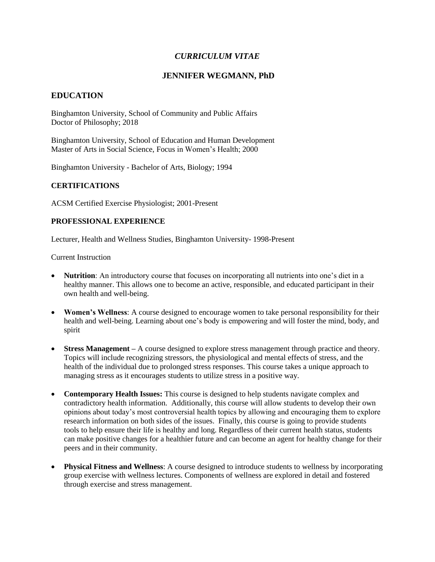# *CURRICULUM VITAE*

# **JENNIFER WEGMANN, PhD**

### **EDUCATION**

Binghamton University, School of Community and Public Affairs Doctor of Philosophy; 2018

Binghamton University, School of Education and Human Development Master of Arts in Social Science, Focus in Women's Health; 2000

Binghamton University - Bachelor of Arts, Biology; 1994

#### **CERTIFICATIONS**

ACSM Certified Exercise Physiologist; 2001-Present

#### **PROFESSIONAL EXPERIENCE**

Lecturer, Health and Wellness Studies, Binghamton University- 1998-Present

Current Instruction

- **Nutrition**: An introductory course that focuses on incorporating all nutrients into one's diet in a healthy manner. This allows one to become an active, responsible, and educated participant in their own health and well-being.
- **Women's Wellness**: A course designed to encourage women to take personal responsibility for their health and well-being. Learning about one's body is empowering and will foster the mind, body, and spirit
- **Stress Management –** A course designed to explore stress management through practice and theory. Topics will include recognizing stressors, the physiological and mental effects of stress, and the health of the individual due to prolonged stress responses. This course takes a unique approach to managing stress as it encourages students to utilize stress in a positive way.
- **Contemporary Health Issues:** This course is designed to help students navigate complex and contradictory health information. Additionally, this course will allow students to develop their own opinions about today's most controversial health topics by allowing and encouraging them to explore research information on both sides of the issues. Finally, this course is going to provide students tools to help ensure their life is healthy and long. Regardless of their current health status, students can make positive changes for a healthier future and can become an agent for healthy change for their peers and in their community.
- **Physical Fitness and Wellness**: A course designed to introduce students to wellness by incorporating group exercise with wellness lectures. Components of wellness are explored in detail and fostered through exercise and stress management.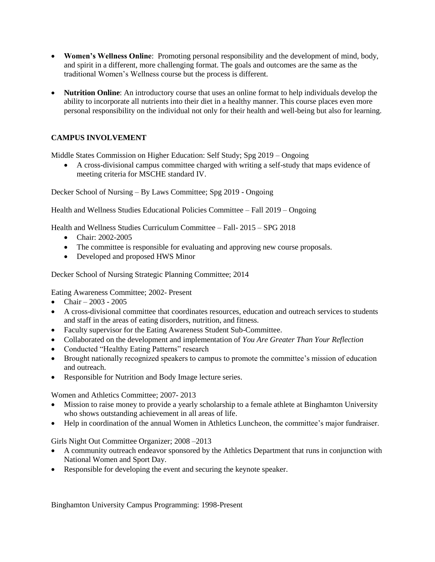- **Women's Wellness Online**: Promoting personal responsibility and the development of mind, body, and spirit in a different, more challenging format. The goals and outcomes are the same as the traditional Women's Wellness course but the process is different.
- **Nutrition Online**: An introductory course that uses an online format to help individuals develop the ability to incorporate all nutrients into their diet in a healthy manner. This course places even more personal responsibility on the individual not only for their health and well-being but also for learning.

### **CAMPUS INVOLVEMENT**

Middle States Commission on Higher Education: Self Study; Spg 2019 – Ongoing

 A cross-divisional campus committee charged with writing a self-study that maps evidence of meeting criteria for MSCHE standard IV.

Decker School of Nursing – By Laws Committee; Spg 2019 - Ongoing

Health and Wellness Studies Educational Policies Committee – Fall 2019 – Ongoing

Health and Wellness Studies Curriculum Committee – Fall- 2015 – SPG 2018

- Chair: 2002-2005
- The committee is responsible for evaluating and approving new course proposals.
- Developed and proposed HWS Minor

Decker School of Nursing Strategic Planning Committee; 2014

Eating Awareness Committee; 2002- Present

- Chair 2003 2005
- A cross-divisional committee that coordinates resources, education and outreach services to students and staff in the areas of eating disorders, nutrition, and fitness.
- Faculty supervisor for the Eating Awareness Student Sub-Committee.
- Collaborated on the development and implementation of *You Are Greater Than Your Reflection*
- Conducted "Healthy Eating Patterns" research
- Brought nationally recognized speakers to campus to promote the committee's mission of education and outreach.
- Responsible for Nutrition and Body Image lecture series.

Women and Athletics Committee; 2007- 2013

- Mission to raise money to provide a yearly scholarship to a female athlete at Binghamton University who shows outstanding achievement in all areas of life.
- Help in coordination of the annual Women in Athletics Luncheon, the committee's major fundraiser.

Girls Night Out Committee Organizer; 2008 –2013

- A community outreach endeavor sponsored by the Athletics Department that runs in conjunction with National Women and Sport Day.
- Responsible for developing the event and securing the keynote speaker.

Binghamton University Campus Programming: 1998-Present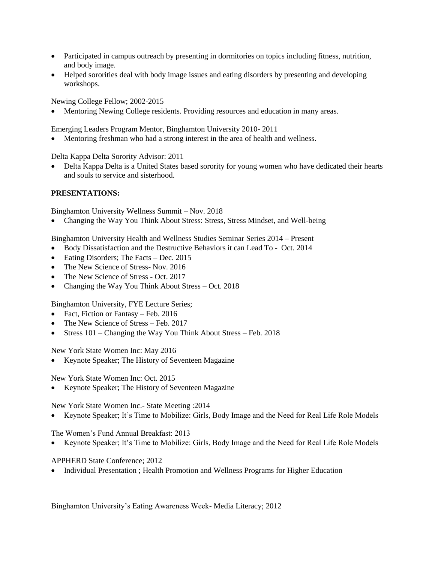- Participated in campus outreach by presenting in dormitories on topics including fitness, nutrition, and body image.
- Helped sororities deal with body image issues and eating disorders by presenting and developing workshops.

Newing College Fellow; 2002-2015

Mentoring Newing College residents. Providing resources and education in many areas.

Emerging Leaders Program Mentor, Binghamton University 2010- 2011

Mentoring freshman who had a strong interest in the area of health and wellness.

Delta Kappa Delta Sorority Advisor: 2011

 Delta Kappa Delta is a United States based sorority for young women who have dedicated their hearts and souls to service and sisterhood.

#### **PRESENTATIONS:**

Binghamton University Wellness Summit – Nov. 2018

Changing the Way You Think About Stress: Stress, Stress Mindset, and Well-being

Binghamton University Health and Wellness Studies Seminar Series 2014 – Present

- Body Dissatisfaction and the Destructive Behaviors it can Lead To Oct. 2014
- Eating Disorders; The Facts Dec. 2015
- The New Science of Stress- Nov. 2016
- The New Science of Stress Oct. 2017
- Changing the Way You Think About Stress Oct. 2018

Binghamton University, FYE Lecture Series;

- Fact, Fiction or Fantasy Feb. 2016
- The New Science of Stress Feb. 2017
- Stress  $101$  Changing the Way You Think About Stress Feb. 2018

New York State Women Inc: May 2016

Keynote Speaker; The History of Seventeen Magazine

New York State Women Inc: Oct. 2015

Keynote Speaker; The History of Seventeen Magazine

New York State Women Inc.- State Meeting :2014

Keynote Speaker; It's Time to Mobilize: Girls, Body Image and the Need for Real Life Role Models

The Women's Fund Annual Breakfast: 2013

Keynote Speaker; It's Time to Mobilize: Girls, Body Image and the Need for Real Life Role Models

APPHERD State Conference; 2012

• Individual Presentation ; Health Promotion and Wellness Programs for Higher Education

Binghamton University's Eating Awareness Week- Media Literacy; 2012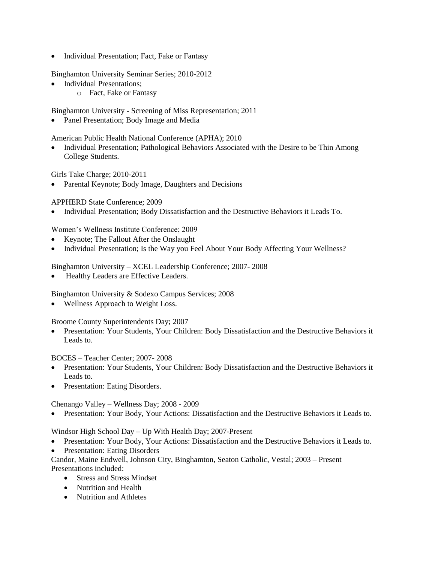• Individual Presentation; Fact, Fake or Fantasy

Binghamton University Seminar Series; 2010-2012

- Individual Presentations;
	- o Fact, Fake or Fantasy

Binghamton University - Screening of Miss Representation; 2011

Panel Presentation; Body Image and Media

American Public Health National Conference (APHA); 2010

 Individual Presentation; Pathological Behaviors Associated with the Desire to be Thin Among College Students.

Girls Take Charge; 2010-2011

Parental Keynote; Body Image, Daughters and Decisions

APPHERD State Conference; 2009

Individual Presentation; Body Dissatisfaction and the Destructive Behaviors it Leads To.

Women's Wellness Institute Conference; 2009

- Keynote; The Fallout After the Onslaught
- Individual Presentation; Is the Way you Feel About Your Body Affecting Your Wellness?

Binghamton University – XCEL Leadership Conference; 2007- 2008

Healthy Leaders are Effective Leaders.

Binghamton University & Sodexo Campus Services; 2008

• Wellness Approach to Weight Loss.

Broome County Superintendents Day; 2007

 Presentation: Your Students, Your Children: Body Dissatisfaction and the Destructive Behaviors it Leads to.

BOCES – Teacher Center; 2007- 2008

- Presentation: Your Students, Your Children: Body Dissatisfaction and the Destructive Behaviors it Leads to.
- Presentation: Eating Disorders.

Chenango Valley – Wellness Day; 2008 - 2009

Presentation: Your Body, Your Actions: Dissatisfaction and the Destructive Behaviors it Leads to.

Windsor High School Day – Up With Health Day; 2007-Present

- Presentation: Your Body, Your Actions: Dissatisfaction and the Destructive Behaviors it Leads to.
- Presentation: Eating Disorders

Candor, Maine Endwell, Johnson City, Binghamton, Seaton Catholic, Vestal; 2003 – Present Presentations included:

- Stress and Stress Mindset
- Nutrition and Health
- Nutrition and Athletes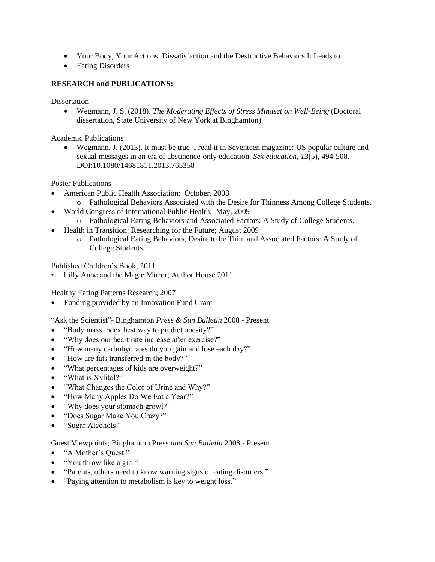- Your Body, Your Actions: Dissatisfaction and the Destructive Behaviors It Leads to.
- Eating Disorders

# **RESEARCH and PUBLICATIONS:**

Dissertation

 Wegmann, J. S. (2018). *The Moderating Effects of Stress Mindset on Well-Being* (Doctoral dissertation, State University of New York at Binghamton).

Academic Publications

 Wegmann, J. (2013). It must be true–I read it in Seventeen magazine: US popular culture and sexual messages in an era of abstinence-only education. *Sex education*, *13*(5), 494-508. DOI:10.1080/14681811.2013.765358

Poster Publications

- American Public Health Association; October, 2008
	- o Pathological Behaviors Associated with the Desire for Thinness Among College Students.
- World Congress of International Public Health; May, 2009 o Pathological Eating Behaviors and Associated Factors: A Study of College Students.
	- Health in Transition: Researching for the Future; August 2009
		- o Pathological Eating Behaviors, Desire to be Thin, and Associated Factors: A Study of College Students.

Published Children's Book; 2011

Lilly Anne and the Magic Mirror; Author House 2011

Healthy Eating Patterns Research; 2007

Funding provided by an Innovation Fund Grant

"Ask the Scientist"- Binghamton *Press & Sun Bulletin* 2008 - Present

- "Body mass index best way to predict obesity?"
- "Why does our heart rate increase after exercise?"
- "How many carbohydrates do you gain and lose each day?"
- "How are fats transferred in the body?"
- "What percentages of kids are overweight?"
- "What is Xylitol?"
- "What Changes the Color of Urine and Why?"
- "How Many Apples Do We Eat a Year?"
- "Why does your stomach growl?"
- "Does Sugar Make You Crazy?"
- "Sugar Alcohols "

Guest Viewpoints; Binghamton Press *and Sun Bulletin* 2008 - Present

- "A Mother's Quest."
- "You throw like a girl."
- "Parents, others need to know warning signs of eating disorders."
- "Paying attention to metabolism is key to weight loss."